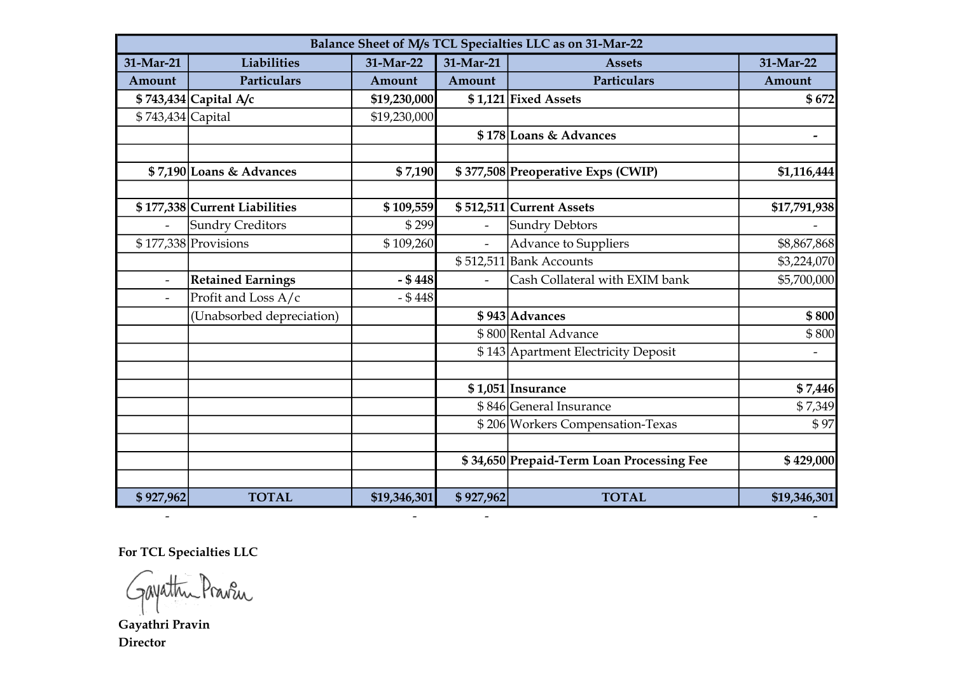| Balance Sheet of M/s TCL Specialties LLC as on 31-Mar-22 |                               |              |                          |                                           |                          |  |  |  |
|----------------------------------------------------------|-------------------------------|--------------|--------------------------|-------------------------------------------|--------------------------|--|--|--|
| 31-Mar-21                                                | Liabilities                   | 31-Mar-22    | 31-Mar-21                | <b>Assets</b>                             | 31-Mar-22                |  |  |  |
| Amount                                                   | Particulars                   | Amount       | Amount                   | Particulars                               | Amount                   |  |  |  |
|                                                          | \$743,434 Capital A/c         | \$19,230,000 |                          | \$1,121 Fixed Assets                      | \$672                    |  |  |  |
| \$743,434 Capital                                        |                               | \$19,230,000 |                          |                                           |                          |  |  |  |
|                                                          |                               |              |                          | \$178 Loans & Advances                    | $\overline{\phantom{a}}$ |  |  |  |
|                                                          | \$7,190 Loans & Advances      | \$7,190      |                          | \$377,508 Preoperative Exps (CWIP)        | \$1,116,444              |  |  |  |
|                                                          | \$177,338 Current Liabilities | \$109,559    |                          | \$512,511 Current Assets                  | \$17,791,938             |  |  |  |
|                                                          | <b>Sundry Creditors</b>       | \$299        | $\overline{\phantom{a}}$ | <b>Sundry Debtors</b>                     |                          |  |  |  |
|                                                          | $$177,338$ Provisions         | \$109,260    | $\blacksquare$           | <b>Advance to Suppliers</b>               | \$8,867,868              |  |  |  |
|                                                          |                               |              | \$512,511                | <b>Bank Accounts</b>                      | \$3,224,070              |  |  |  |
| $\overline{\phantom{a}}$                                 | <b>Retained Earnings</b>      | $-$ \$448    |                          | Cash Collateral with EXIM bank            | \$5,700,000              |  |  |  |
|                                                          | Profit and Loss A/c           | $- $448$     |                          |                                           |                          |  |  |  |
|                                                          | (Unabsorbed depreciation)     |              |                          | \$943 Advances                            | \$800                    |  |  |  |
|                                                          |                               |              |                          | \$800 Rental Advance                      | \$800                    |  |  |  |
|                                                          |                               |              |                          | \$143 Apartment Electricity Deposit       | $\overline{\phantom{a}}$ |  |  |  |
|                                                          |                               |              |                          | $$1,051$ Insurance                        | \$7,446                  |  |  |  |
|                                                          |                               |              |                          | \$846 General Insurance                   | \$7,349                  |  |  |  |
|                                                          |                               |              |                          | \$206 Workers Compensation-Texas          | \$97                     |  |  |  |
|                                                          |                               |              |                          | \$34,650 Prepaid-Term Loan Processing Fee | \$429,000                |  |  |  |
|                                                          |                               |              |                          |                                           |                          |  |  |  |
| \$927,962                                                | <b>TOTAL</b>                  | \$19,346,301 | \$927,962                | <b>TOTAL</b>                              | \$19,346,301             |  |  |  |

- - - -

For TCL Specialties LLC

Gayathri Pravin

Director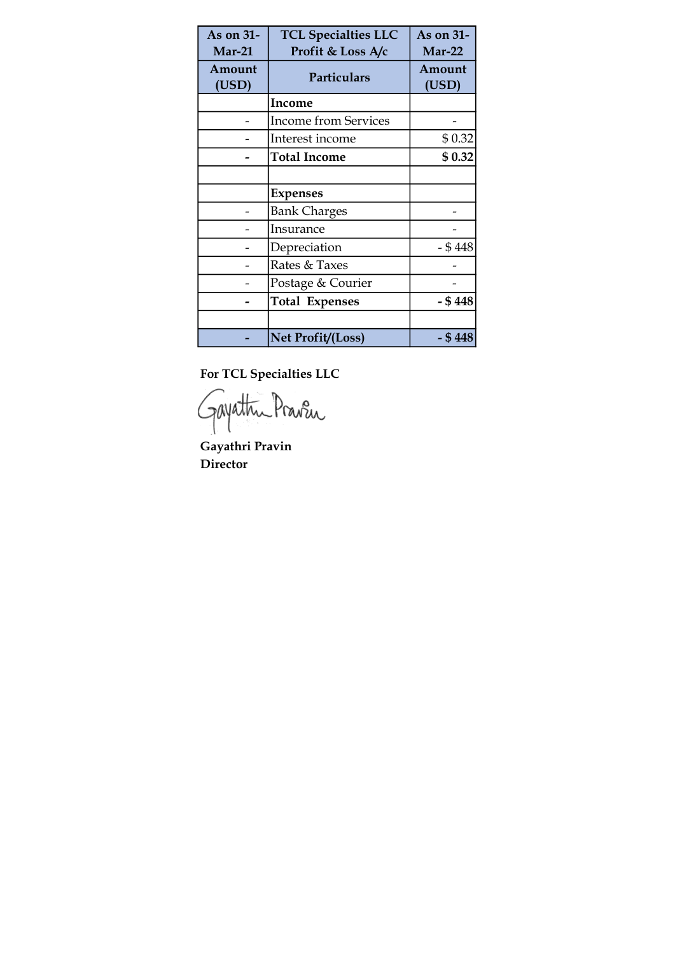| As on 31-<br>$Mar-21$ | <b>TCL Specialties LLC</b><br>Profit & Loss A/c | As on 31-<br><b>Mar-22</b> |
|-----------------------|-------------------------------------------------|----------------------------|
| Amount<br>(USD)       | Particulars                                     | Amount<br>(USD)            |
|                       | Income                                          |                            |
|                       | <b>Income from Services</b>                     |                            |
|                       | Interest income                                 | \$0.32                     |
|                       | <b>Total Income</b>                             | \$0.32                     |
|                       |                                                 |                            |
|                       | <b>Expenses</b>                                 |                            |
|                       | <b>Bank Charges</b>                             |                            |
|                       | Insurance                                       |                            |
|                       | Depreciation                                    | $-$ \$ 448                 |
|                       | Rates & Taxes                                   |                            |
|                       | Postage & Courier                               |                            |
|                       | <b>Total Expenses</b>                           | $-$ \$ 448                 |
|                       |                                                 |                            |
|                       | Net Profit/(Loss)                               | - \$ 448                   |

For TCL Specialties LLC

Gayathu Praven

Gayathri Pravin Director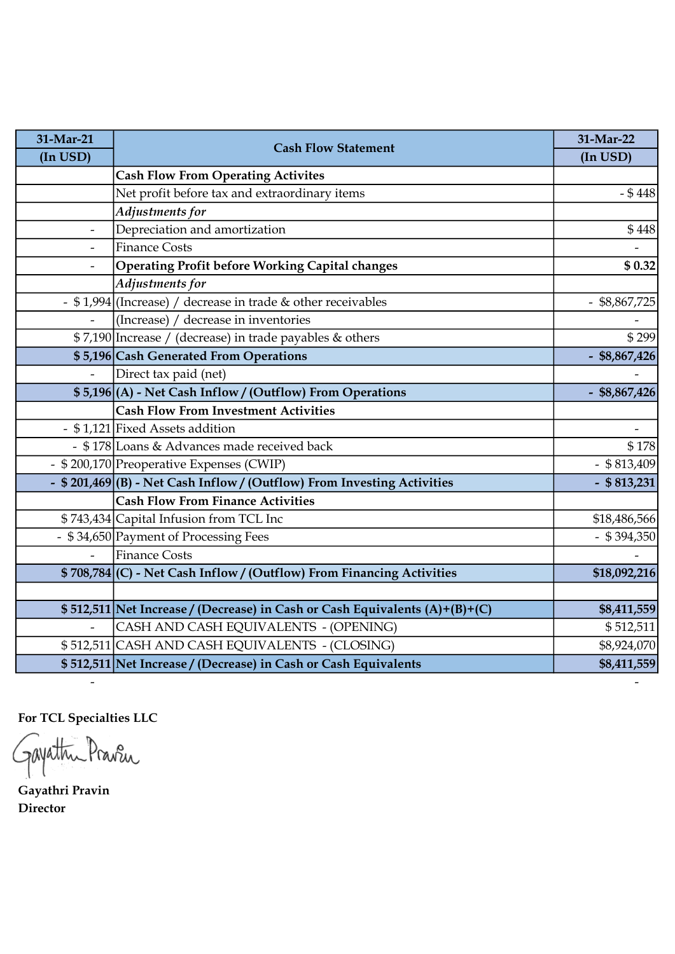| 31-Mar-21                | <b>Cash Flow Statement</b>                                                  | 31-Mar-22       |
|--------------------------|-----------------------------------------------------------------------------|-----------------|
| (In USD)                 |                                                                             | (In USD)        |
|                          | <b>Cash Flow From Operating Activites</b>                                   |                 |
|                          | Net profit before tax and extraordinary items                               | $- $448$        |
|                          | Adjustments for                                                             |                 |
| $\frac{1}{2}$            | Depreciation and amortization                                               | \$448           |
| $\overline{\phantom{a}}$ | <b>Finance Costs</b>                                                        |                 |
| $\overline{\phantom{a}}$ | Operating Profit before Working Capital changes                             | \$0.32          |
|                          | Adjustments for                                                             |                 |
|                          | - \$1,994 (Increase) / decrease in trade & other receivables                | $-$ \$8,867,725 |
|                          | (Increase) / decrease in inventories                                        |                 |
|                          | \$7,190 Increase / (decrease) in trade payables & others                    | \$299           |
|                          | \$5,196 Cash Generated From Operations                                      | $-$ \$8,867,426 |
|                          | Direct tax paid (net)                                                       |                 |
|                          | \$5,196 (A) - Net Cash Inflow / (Outflow) From Operations                   | $-$ \$8,867,426 |
|                          | <b>Cash Flow From Investment Activities</b>                                 |                 |
|                          | - \$1,121 Fixed Assets addition                                             |                 |
|                          | - \$178 Loans & Advances made received back                                 | \$178           |
|                          | - \$200,170 Preoperative Expenses (CWIP)                                    | $-$ \$813,409   |
|                          | - \$201,469(B) - Net Cash Inflow / (Outflow) From Investing Activities      | $-$ \$ 813,231  |
|                          | <b>Cash Flow From Finance Activities</b>                                    |                 |
|                          | \$743,434 Capital Infusion from TCL Inc                                     | \$18,486,566    |
|                          | - \$34,650 Payment of Processing Fees                                       | $-$ \$394,350   |
| $\blacksquare$           | <b>Finance Costs</b>                                                        |                 |
|                          | \$708,784 (C) - Net Cash Inflow / (Outflow) From Financing Activities       | \$18,092,216    |
|                          |                                                                             |                 |
|                          | \$512,511 Net Increase / (Decrease) in Cash or Cash Equivalents (A)+(B)+(C) | \$8,411,559     |
| $\overline{\phantom{a}}$ | CASH AND CASH EQUIVALENTS - (OPENING)                                       | \$512,511       |
|                          | \$512,511 CASH AND CASH EQUIVALENTS - (CLOSING)                             | \$8,924,070     |
|                          | \$512,511 Net Increase / (Decrease) in Cash or Cash Equivalents             | \$8,411,559     |

- -

For TCL Specialties LLC

Gayathu Praven

Gayathri Pravin Director